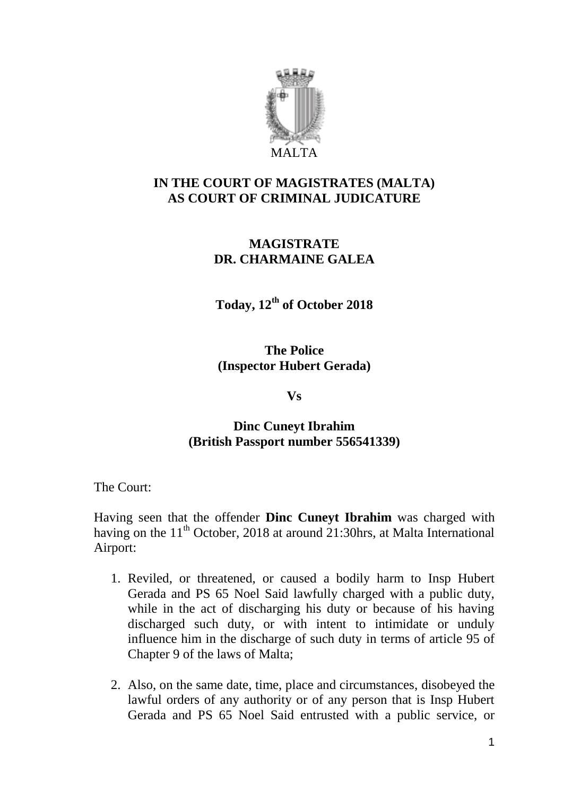

## **IN THE COURT OF MAGISTRATES (MALTA) AS COURT OF CRIMINAL JUDICATURE**

## **MAGISTRATE DR. CHARMAINE GALEA**

**Today, 12th of October 2018**

**The Police (Inspector Hubert Gerada)**

**Vs**

# **Dinc Cuneyt Ibrahim (British Passport number 556541339)**

The Court:

Having seen that the offender **Dinc Cuneyt Ibrahim** was charged with having on the  $11<sup>th</sup>$  October, 2018 at around 21:30hrs, at Malta International Airport:

- 1. Reviled, or threatened, or caused a bodily harm to Insp Hubert Gerada and PS 65 Noel Said lawfully charged with a public duty, while in the act of discharging his duty or because of his having discharged such duty, or with intent to intimidate or unduly influence him in the discharge of such duty in terms of article 95 of Chapter 9 of the laws of Malta;
- 2. Also, on the same date, time, place and circumstances, disobeyed the lawful orders of any authority or of any person that is Insp Hubert Gerada and PS 65 Noel Said entrusted with a public service, or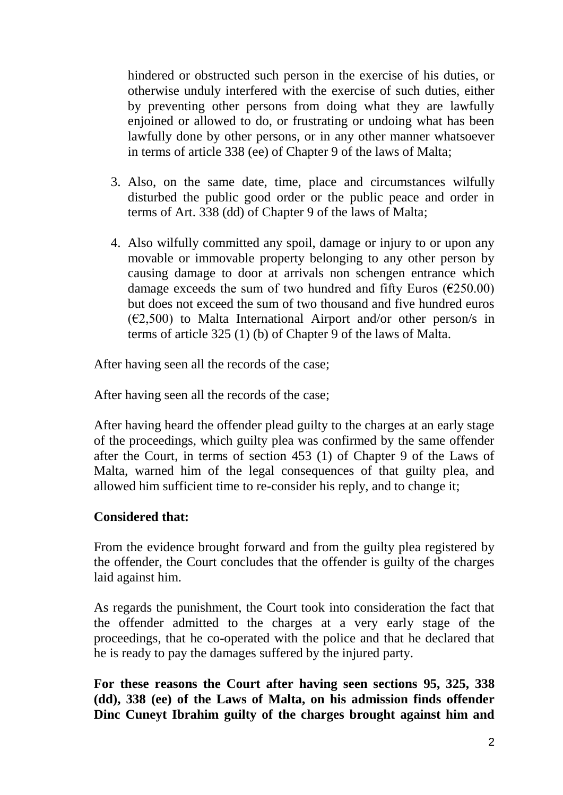hindered or obstructed such person in the exercise of his duties, or otherwise unduly interfered with the exercise of such duties, either by preventing other persons from doing what they are lawfully enjoined or allowed to do, or frustrating or undoing what has been lawfully done by other persons, or in any other manner whatsoever in terms of article 338 (ee) of Chapter 9 of the laws of Malta;

- 3. Also, on the same date, time, place and circumstances wilfully disturbed the public good order or the public peace and order in terms of Art. 338 (dd) of Chapter 9 of the laws of Malta;
- 4. Also wilfully committed any spoil, damage or injury to or upon any movable or immovable property belonging to any other person by causing damage to door at arrivals non schengen entrance which damage exceeds the sum of two hundred and fifty Euros ( $\epsilon$ 250.00) but does not exceed the sum of two thousand and five hundred euros  $(\text{\textsterling}2,500)$  to Malta International Airport and/or other person/s in terms of article 325 (1) (b) of Chapter 9 of the laws of Malta.

After having seen all the records of the case;

After having seen all the records of the case;

After having heard the offender plead guilty to the charges at an early stage of the proceedings, which guilty plea was confirmed by the same offender after the Court, in terms of section 453 (1) of Chapter 9 of the Laws of Malta, warned him of the legal consequences of that guilty plea, and allowed him sufficient time to re-consider his reply, and to change it;

#### **Considered that:**

From the evidence brought forward and from the guilty plea registered by the offender, the Court concludes that the offender is guilty of the charges laid against him.

As regards the punishment, the Court took into consideration the fact that the offender admitted to the charges at a very early stage of the proceedings, that he co-operated with the police and that he declared that he is ready to pay the damages suffered by the injured party.

**For these reasons the Court after having seen sections 95, 325, 338 (dd), 338 (ee) of the Laws of Malta, on his admission finds offender Dinc Cuneyt Ibrahim guilty of the charges brought against him and**